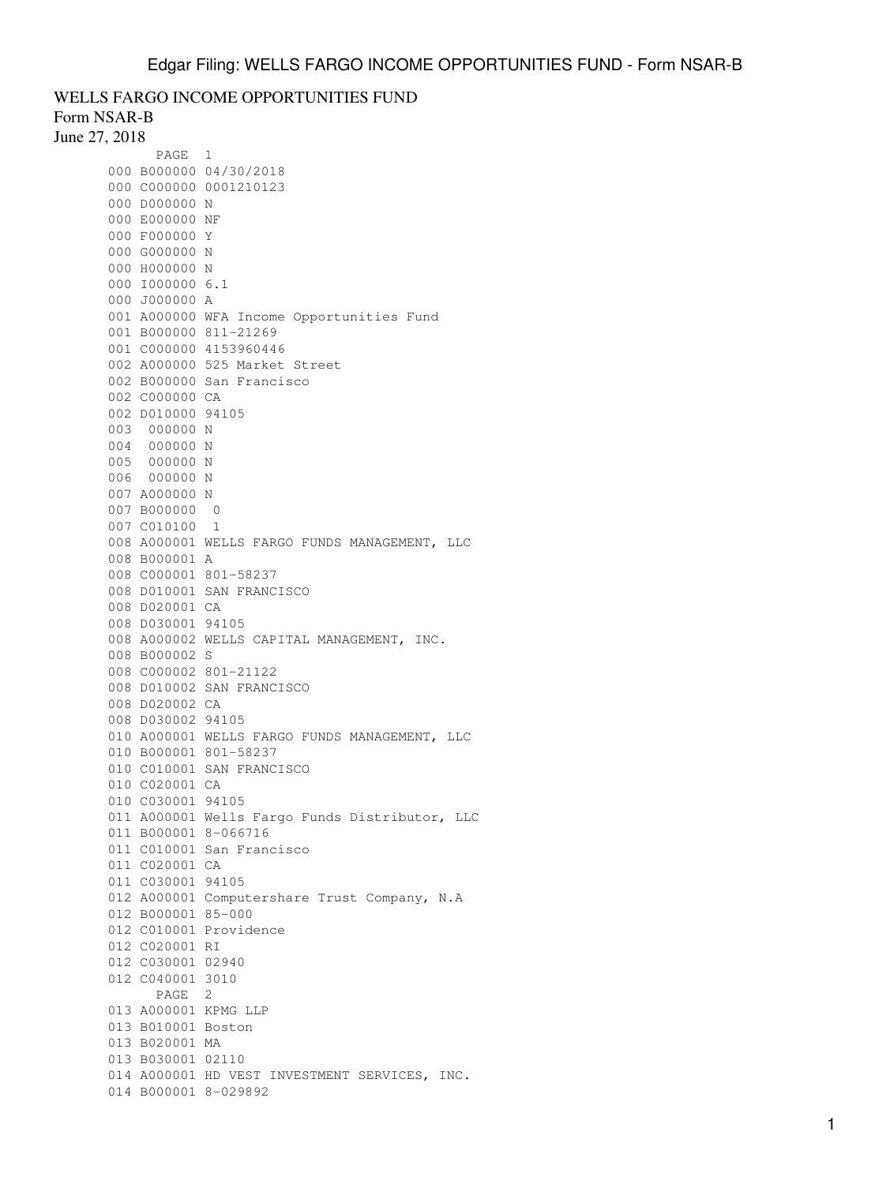## WELLS FARGO INCOME OPPORTUNITIES FUND Form NSAR-B

June 27, 2018

| PAGE                   | 1                                              |
|------------------------|------------------------------------------------|
| 000 B000000 04/30/2018 |                                                |
| 000 C000000 0001210123 |                                                |
| 000 D000000 N          |                                                |
| 000 E000000 NF         |                                                |
| 000 F000000 Y          |                                                |
| 000 G000000 N          |                                                |
| 000 H000000 N          |                                                |
| 000 1000000 6.1        |                                                |
| 000 J000000 A          |                                                |
|                        | 001 A000000 WFA Income Opportunities Fund      |
| 001 B000000 811-21269  |                                                |
| 001 C000000 4153960446 |                                                |
|                        | 002 A000000 525 Market Street                  |
|                        | 002 B000000 San Francisco                      |
| 002 C000000 CA         |                                                |
| 002 D010000 94105      |                                                |
| 003 000000 N           |                                                |
| 004 000000 N           |                                                |
| 005 000000 N           |                                                |
| 006 000000 N           |                                                |
| 007 A000000 N          |                                                |
| 007 B000000 0          |                                                |
| 007 C010100 1          |                                                |
|                        | 008 A000001 WELLS FARGO FUNDS MANAGEMENT, LLC  |
| 008 B000001 A          |                                                |
| 008 C000001 801-58237  |                                                |
|                        | 008 D010001 SAN FRANCISCO                      |
| 008 D020001 CA         |                                                |
| 008 D030001 94105      |                                                |
|                        | 008 A000002 WELLS CAPITAL MANAGEMENT, INC.     |
| 008 B000002 S          |                                                |
| 008 C000002 801-21122  |                                                |
|                        | 008 D010002 SAN FRANCISCO                      |
| 008 D020002 CA         |                                                |
| 008 D030002 94105      |                                                |
|                        | 010 A000001 WELLS FARGO FUNDS MANAGEMENT, LLC  |
| 010 B000001 801-58237  |                                                |
|                        |                                                |
|                        |                                                |
|                        | 010 C010001 SAN FRANCISCO                      |
| 010 C020001 CA         |                                                |
| 010 C030001 94105      |                                                |
|                        | 011 A000001 Wells Fargo Funds Distributor, LLC |
| 011 B000001 8-066716   |                                                |
|                        | 011 C010001 San Francisco                      |
| 011 C020001 CA         |                                                |
| 011 C030001 94105      |                                                |
|                        | 012 A000001 Computershare Trust Company, N.A   |
| 012 B000001 85-000     |                                                |
| 012 C010001 Providence |                                                |
| 012 C020001 RI         |                                                |
| 012 C030001 02940      |                                                |
| 012 C040001 3010       |                                                |
| PAGE 2                 |                                                |
| 013 A000001 KPMG LLP   |                                                |
| 013 B010001 Boston     |                                                |
| 013 B020001 MA         |                                                |
| 013 B030001 02110      |                                                |
| 014 B000001 8-029892   | 014 A000001 HD VEST INVESTMENT SERVICES, INC.  |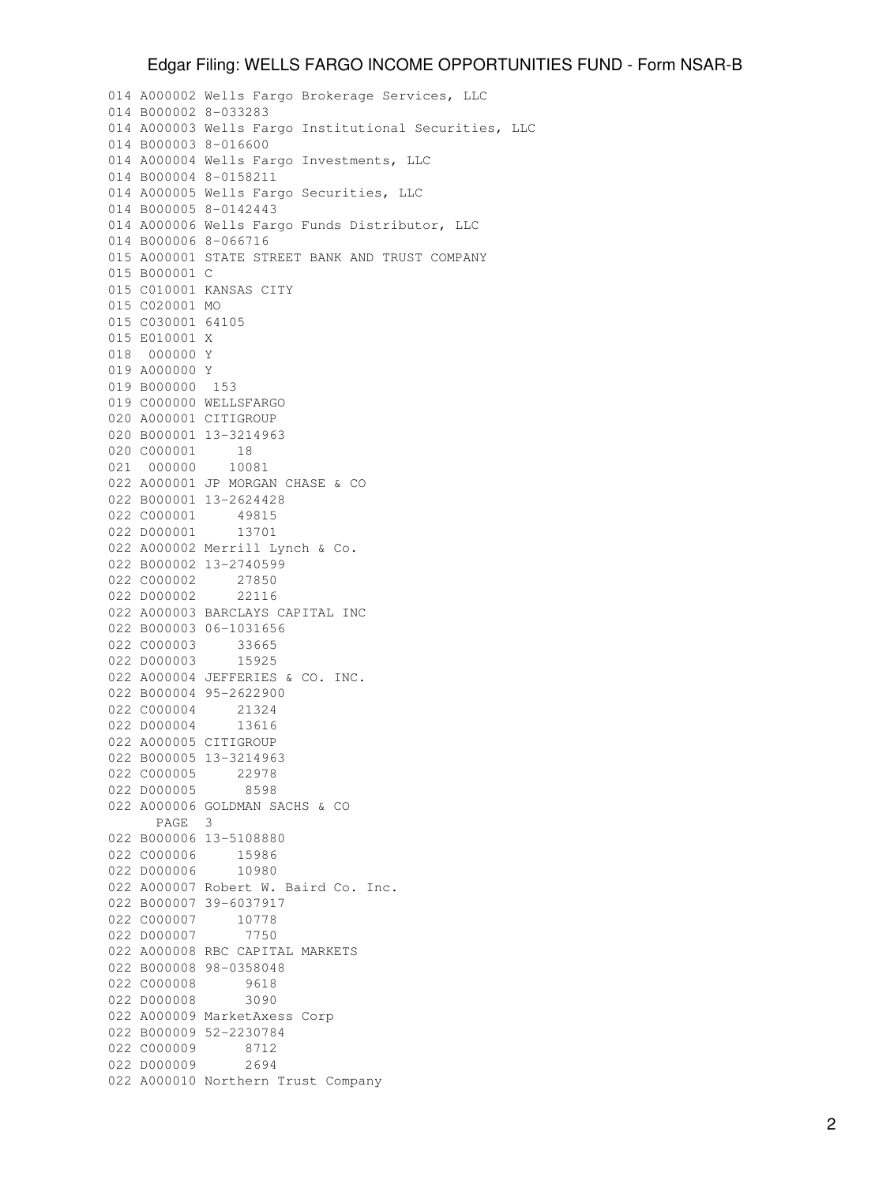## Edgar Filing: WELLS FARGO INCOME OPPORTUNITIES FUND - Form NSAR-B

014 A000002 Wells Fargo Brokerage Services, LLC 014 B000002 8-033283 014 A000003 Wells Fargo Institutional Securities, LLC 014 B000003 8-016600 014 A000004 Wells Fargo Investments, LLC 014 B000004 8-0158211 014 A000005 Wells Fargo Securities, LLC 014 B000005 8-0142443 014 A000006 Wells Fargo Funds Distributor, LLC 014 B000006 8-066716 015 A000001 STATE STREET BANK AND TRUST COMPANY 015 B000001 C 015 C010001 KANSAS CITY 015 C020001 MO 015 C030001 64105 015 E010001 X 018 000000 Y 019 A000000 Y 019 B000000 153 019 C000000 WELLSFARGO 020 A000001 CITIGROUP 020 B000001 13-3214963 020 C000001 18 021 000000 10081 022 A000001 JP MORGAN CHASE & CO 022 B000001 13-2624428 022 C000001 49815 022 D000001 13701 022 A000002 Merrill Lynch & Co. 022 B000002 13-2740599 022 C000002 27850 022 D000002 22116 022 A000003 BARCLAYS CAPITAL INC 022 B000003 06-1031656 022 C000003 33665 022 D000003 15925 022 A000004 JEFFERIES & CO. INC. 022 B000004 95-2622900 022 C000004 21324 022 D000004 13616 022 A000005 CITIGROUP 022 B000005 13-3214963<br>022 C000005 22978 022 C000005 022 D000005 8598 022 A000006 GOLDMAN SACHS & CO PAGE 3 022 B000006 13-5108880 022 C000006 15986 022 D000006 10980 022 A000007 Robert W. Baird Co. Inc. 022 B000007 39-6037917 022 C000007 10778 022 D000007 7750 022 A000008 RBC CAPITAL MARKETS 022 B000008 98-0358048 022 C000008 9618 022 D000008 3090 022 A000009 MarketAxess Corp 022 B000009 52-2230784 022 C000009 8712 022 D000009 2694 022 A000010 Northern Trust Company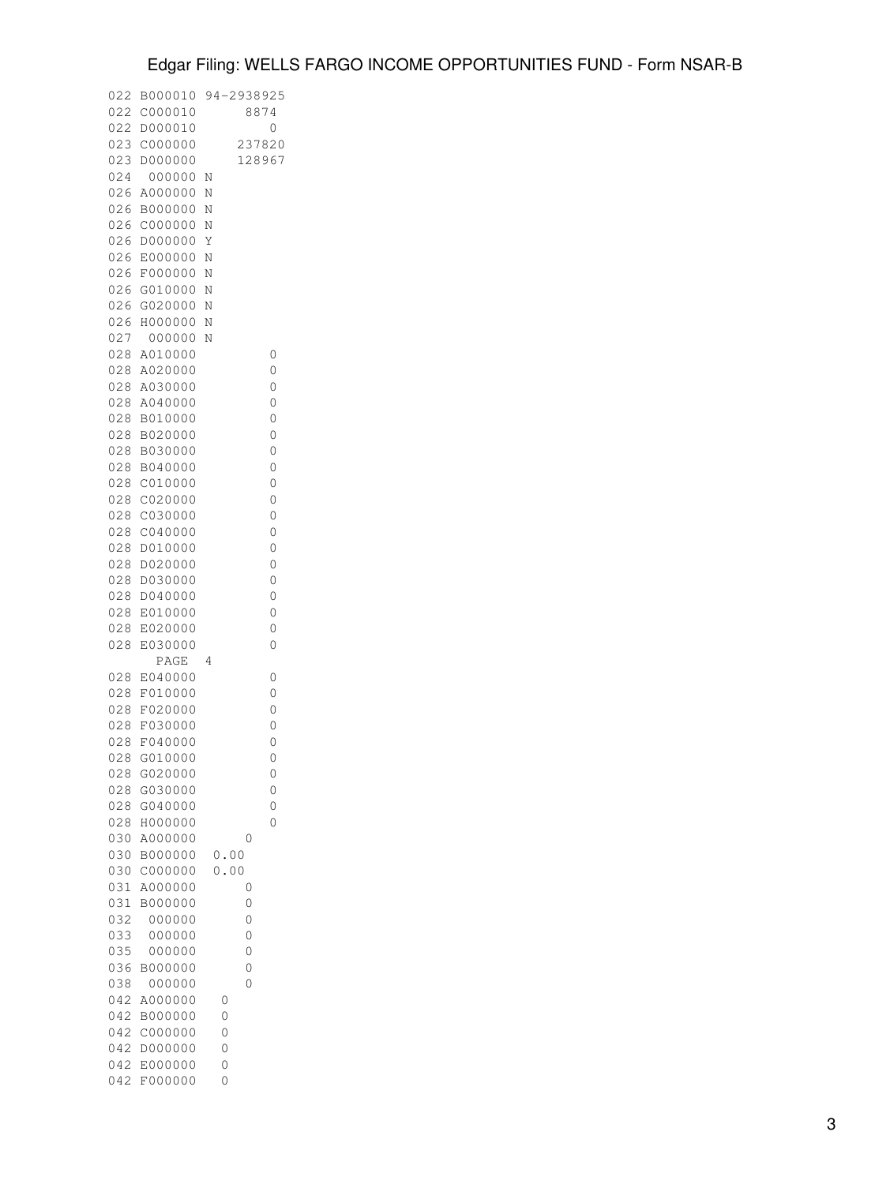| 022        | B000010            | 94-2938925         |  |
|------------|--------------------|--------------------|--|
| 022        | C000010            | 8874               |  |
| 022<br>023 | D000010<br>C000000 | 0<br>237820        |  |
| 023        | D000000            | 128967             |  |
| 024        | 000000             | Ν                  |  |
| 026        | A000000            | Ν                  |  |
| 026        | B000000            | Ν                  |  |
| 026        | C000000            | Ν                  |  |
| 026        | D000000            | Y                  |  |
| 026        | E000000            | N                  |  |
| 026        | F000000            | N                  |  |
| 026        | G010000            | Ν                  |  |
| 026        | G020000            | N                  |  |
| 026        | H000000            | $\overline{\rm N}$ |  |
| 027        | 000000             | Ν                  |  |
| 028        | A010000            | 0                  |  |
| 028        | A020000            | 0                  |  |
| 028        | A030000            | 0                  |  |
| 028        | A040000            | 0                  |  |
| 028<br>028 | B010000<br>B020000 | 0<br>0             |  |
| 028        | B030000            | 0                  |  |
| 028        | B040000            | 0                  |  |
| 028        | C010000            | 0                  |  |
| 028        | C020000            | 0                  |  |
| 028        | C030000            | 0                  |  |
| 028        | C040000            | 0                  |  |
| 028        | D010000            | 0                  |  |
| 028        | D020000            | 0                  |  |
| 028        | D030000            | 0                  |  |
| 028        | D040000            | 0                  |  |
| 028        | E010000            | 0                  |  |
| 028        | E020000            | 0                  |  |
| 028        | E030000            | 0                  |  |
| 028        | PAGE<br>E040000    | 4<br>0             |  |
| 028        | F010000            | 0                  |  |
| 028        | F020000            | 0                  |  |
| 028        | F030000            | 0                  |  |
| 028        | F040000            | 0                  |  |
| 028        | G010000            | 0                  |  |
| 028        | G020000            | 0                  |  |
| 028        | G030000            | 0                  |  |
| 028        | G040000            | 0                  |  |
| 028        | H000000            | 0                  |  |
| 030        | A000000            | 0                  |  |
| 030        | B000000            | 0.00               |  |
| 030        | C000000            | 0.00               |  |
| 031<br>031 | A000000            | 0                  |  |
| 032        | B000000<br>000000  | 0<br>0             |  |
| 033        | 000000             | 0                  |  |
| 035        | 000000             | 0                  |  |
| 036        | B000000            | 0                  |  |
| 038        | 000000             | 0                  |  |
| 042        | A000000            | 0                  |  |
| 042        | B000000            | 0                  |  |
| 042        | C000000            | 0                  |  |
| 042        | D000000            | 0                  |  |
| 042        | E000000            | 0                  |  |
| 042        | F000000            | 0                  |  |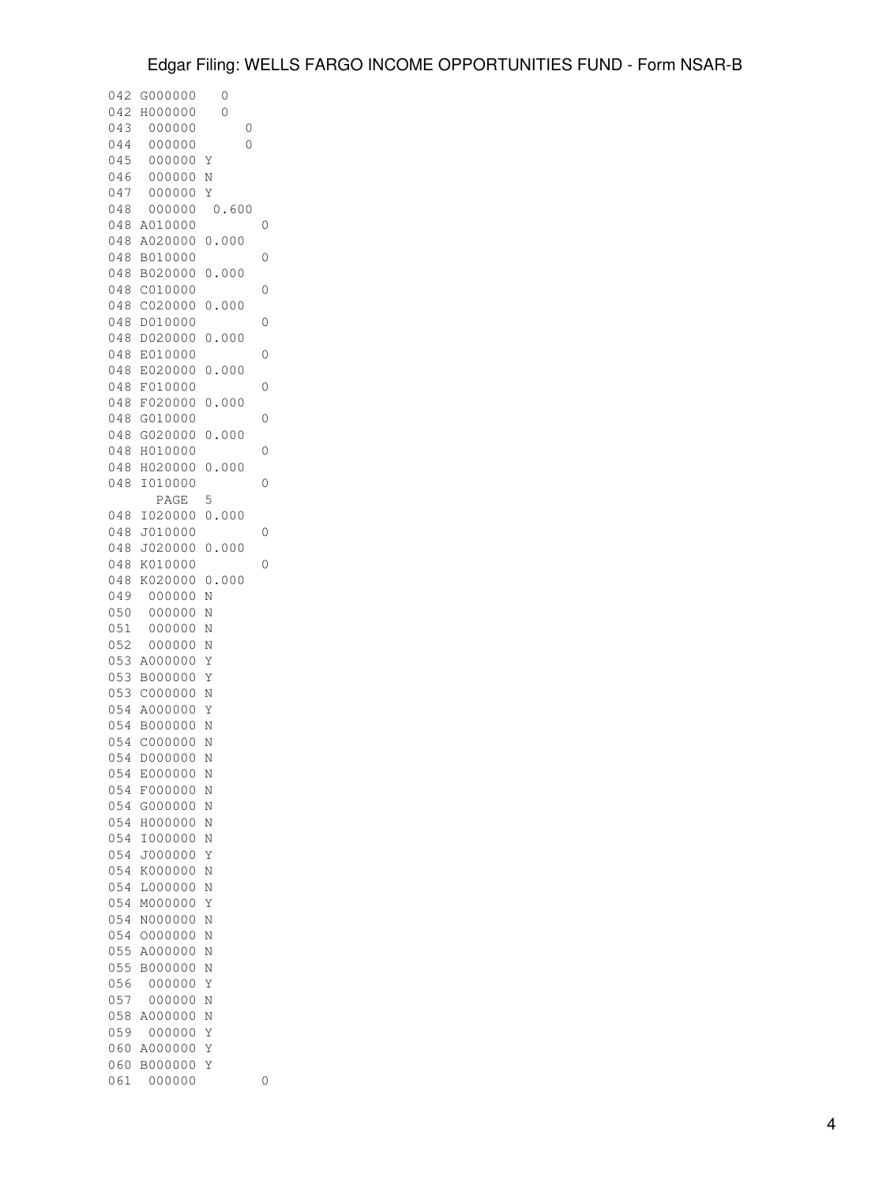| 042 | G000000 | 0                  |  |
|-----|---------|--------------------|--|
| 042 | H000000 | 0                  |  |
| 043 | 000000  | 0                  |  |
| 044 | 000000  | 0                  |  |
| 045 | 000000  | Υ                  |  |
| 046 | 000000  | Ν                  |  |
| 047 | 000000  | Υ                  |  |
| 048 | 000000  | 0.600              |  |
| 048 | A010000 | 0                  |  |
| 048 | A020000 | 0.000              |  |
| 048 | B010000 | 0                  |  |
| 048 | B020000 | 0.000              |  |
| 048 | C010000 | 0                  |  |
| 048 | C020000 | 0.000              |  |
| 048 | D010000 | 0                  |  |
| 048 | D020000 | 0.000              |  |
| 048 | E010000 | 0                  |  |
| 048 | E020000 | 0.000              |  |
| 048 | F010000 | 0                  |  |
| 048 | F020000 | 0.000              |  |
| 048 | G010000 | 0                  |  |
| 048 | G020000 | 0.000              |  |
| 048 | H010000 | 0                  |  |
| 048 | H020000 | 0.000              |  |
| 048 | I010000 | 0                  |  |
|     | PAGE    | 5                  |  |
| 048 | I020000 | 0.000              |  |
| 048 | J010000 | 0                  |  |
| 048 | J020000 | 0.000              |  |
| 048 | K010000 | 0                  |  |
| 048 | K020000 | 0.000              |  |
| 049 | 000000  | Ν                  |  |
| 050 | 000000  | Ν                  |  |
| 051 | 000000  | Ν                  |  |
| 052 | 000000  | Ν                  |  |
| 053 | A000000 | Υ                  |  |
| 053 | B000000 | Υ                  |  |
| 053 | C000000 | Ν                  |  |
| 054 | A000000 | Υ                  |  |
| 054 | B000000 | Ν                  |  |
| 054 | C000000 | N                  |  |
| 054 | D000000 | N                  |  |
| 054 | E000000 | N                  |  |
| 054 | F000000 | Ν                  |  |
| 054 | G000000 | Ν                  |  |
| 054 | H000000 | N                  |  |
| 054 | I000000 | N                  |  |
| 054 | J000000 | Υ                  |  |
| 054 | K000000 | N                  |  |
| 054 | L000000 | Ν                  |  |
| 054 | M000000 | Υ                  |  |
| 054 | N000000 | Ν                  |  |
| 054 | 0000000 | Ν                  |  |
| 055 | A000000 | $\overline{\rm N}$ |  |
| 055 | B000000 | Ν                  |  |
| 056 | 000000  | Y                  |  |
| 057 | 000000  | N                  |  |
| 058 | A000000 | Ν                  |  |
| 059 | 000000  | Υ                  |  |
| 060 | A000000 | Υ                  |  |
| 060 | B000000 | Υ                  |  |
| 061 | 000000  | 0                  |  |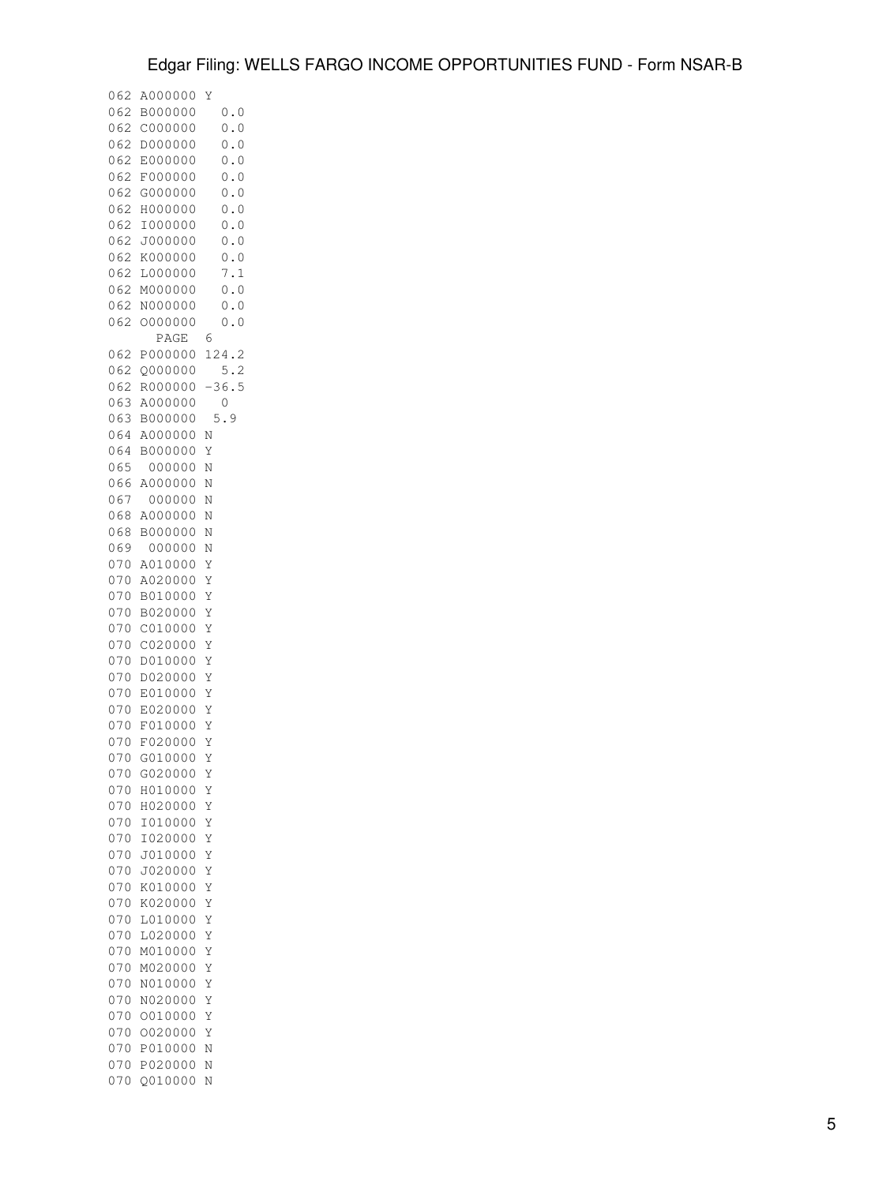| 062        | A000000            | Y                  |
|------------|--------------------|--------------------|
| 062<br>062 | B000000<br>C000000 | 0.0<br>0.0         |
| 062        | D000000            | 0.0                |
| 062        | E000000            | 0.0                |
| 062        | F000000            | 0.0                |
| 062        | G000000            | 0.0                |
| 062        | H000000            | 0.0                |
| 062        | I000000            | 0.0                |
| 062        | J000000            | 0.0                |
| 062        | K000000            | 0.0                |
| 062        | L000000            | 7.1                |
| 062        | M000000            | 0.0                |
| 062<br>062 | N000000<br>0000000 | 0.0<br>0.0         |
|            | PAGE               | 6                  |
| 062        | P000000            | 124<br>$\cdot$ 2   |
| 062        | Q000000            | 5.2                |
| 062        | R000000            | 36.5               |
| 063        | A000000            | 0                  |
| 063        | B000000            | 9<br>5             |
| 064        | A000000            | Ν                  |
| 064        | B000000            | Υ                  |
| 065        | 000000             | Ν                  |
| 066<br>067 | A000000<br>000000  | Ν                  |
| 068        | A000000            | Ν<br>Ν             |
| 068        | B000000            | $\overline{\rm N}$ |
| 069        | 000000             | N                  |
| 070        | A010000            | Υ                  |
| 070        | A020000            | Υ                  |
| 070        | B010000            | Υ                  |
| 070        | B020000            | Y                  |
| 070        | C010000            | Y                  |
| 070        | C020000            | Y                  |
| 070<br>070 | D010000<br>D020000 | Υ<br>Y             |
| 070        | E010000            | Y                  |
| 070        | E020000            | Y                  |
| 070        | F010000            | Υ                  |
| 070        | F020000            | Υ                  |
| 070        | G010000            | Y                  |
| 070        | G020000            | Υ                  |
| 070        | H010000            | Y                  |
| 070        | H020000            | Υ                  |
| 070<br>070 | I010000<br>I020000 | Υ                  |
| 070        | J010000            | Υ<br>Y             |
| 070        | J020000            | Y                  |
| 070        | K010000            | Υ                  |
| 070        | K020000            | Υ                  |
| 070        | L010000            | Υ                  |
| 070        | L020000            | Υ                  |
| 070        | M010000            | Y                  |
| 070        | M020000            | Υ                  |
| 070        | N010000            | Υ                  |
| 070<br>070 | N020000<br>0010000 | Υ                  |
| 070        | 0020000            | Y<br>Y             |
| 070        | P010000            | Ν                  |
| 070        | P020000            | Ν                  |
| 070        | Q010000            | Ν                  |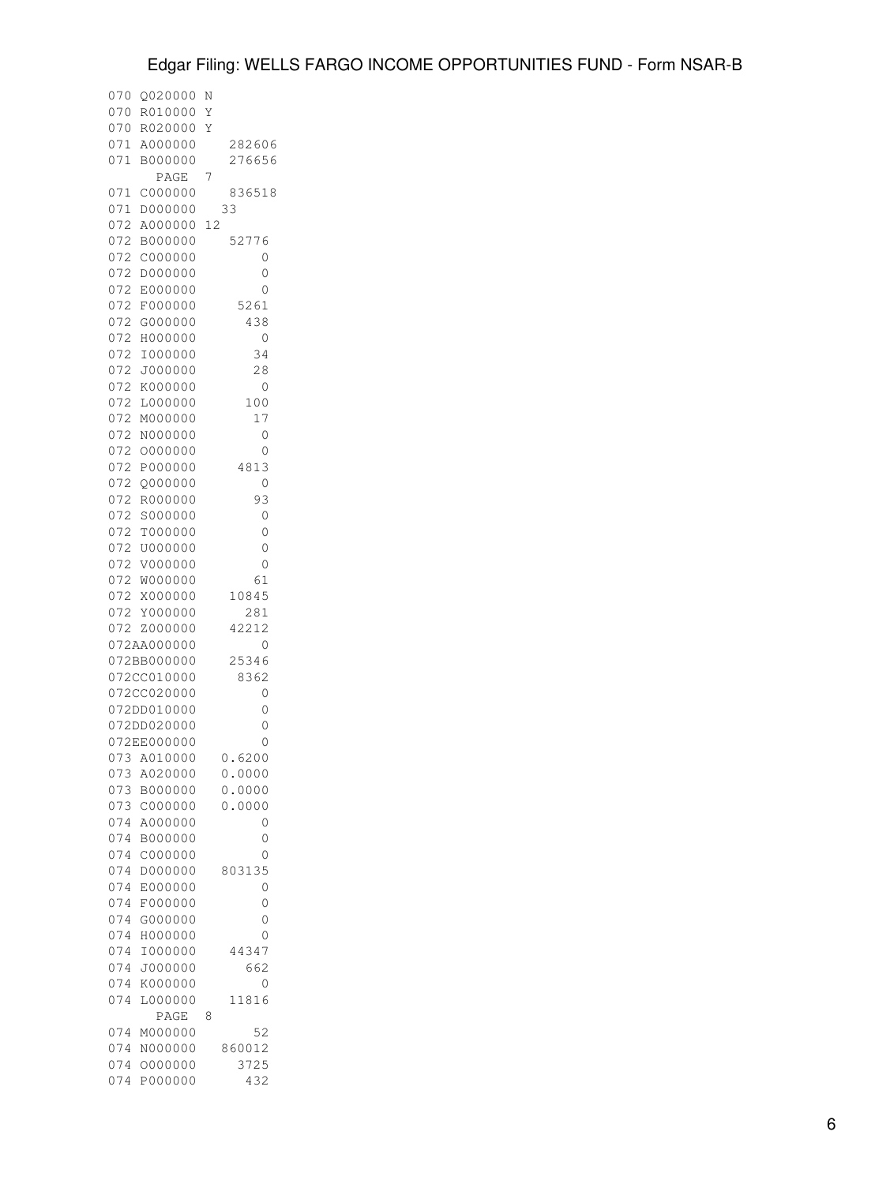| 070        | Q020000            | Ν         |
|------------|--------------------|-----------|
| 070        | R010000            | Υ         |
| 070        | R020000            | Υ         |
| 071        | A000000            | 282606    |
| 071        | B000000            | 276656    |
|            | PAGE               | 7         |
| 071        | C000000            | 836518    |
| 071        | D000000            | 33        |
| 072        | A000000            | 12        |
| 072        | B000000            | 52776     |
| 072        | C000000            | 0         |
| 072        | D000000            | 0         |
| 072        | E000000            | 0         |
| 072        | F000000            | 5261      |
| 072        | G000000            | 438       |
| 072        | H000000            | 0         |
| 072        | I000000            | 34        |
| 072        | J000000            | 28        |
| 072        | K000000            | 0         |
| 072        | L000000            | 100       |
| 072        | M000000            | 17        |
| 072        | N000000            | 0         |
| 072        | 0000000            | 0         |
| 072        | P000000            | 4813      |
| 072        | 0000000            | 0         |
| 072        | R000000            | 93        |
| 072        | S000000            | 0         |
| 072        | T000000            | 0         |
| 072        | U000000            | 0         |
| 072        | V000000            | 0         |
| 072        | W000000            | 61        |
| 072        | X000000            | 10845     |
| 072        | Y000000            | 281       |
| 072        | Z000000            | 42212     |
|            | 072AA000000        | 0         |
|            | 072BB000000        | 25346     |
|            | 072CC010000        | 8362      |
|            | 072CC020000        | 0         |
|            | 072DD010000        | 0         |
|            | 072DD020000        | 0         |
|            | 072EE000000        | 0         |
|            | 073 A010000        | 6200<br>U |
| 073        | A020000            | 0.0000    |
|            | 073 B000000        | 0.0000    |
| 073        | C000000            | 0.0000    |
| 074<br>074 | A000000<br>B000000 | 0<br>0    |
|            |                    | 0         |
| 074<br>074 | C000000<br>D000000 | 803135    |
| 074        | E000000            | 0         |
| 074        | F000000            | 0         |
| 074        | G000000            | 0         |
| 074        | H000000            | 0         |
| 074        | I000000            | 44347     |
| 074        | J000000            | 662       |
| 074        | K000000            | 0         |
| 074        | L000000            | 11816     |
|            | PAGE               | 8         |
| 074        | M000000            | 52        |
| 074        | N000000            | 860012    |
| 074        | 0000000            | 3725      |
| 074        | P000000            | 432       |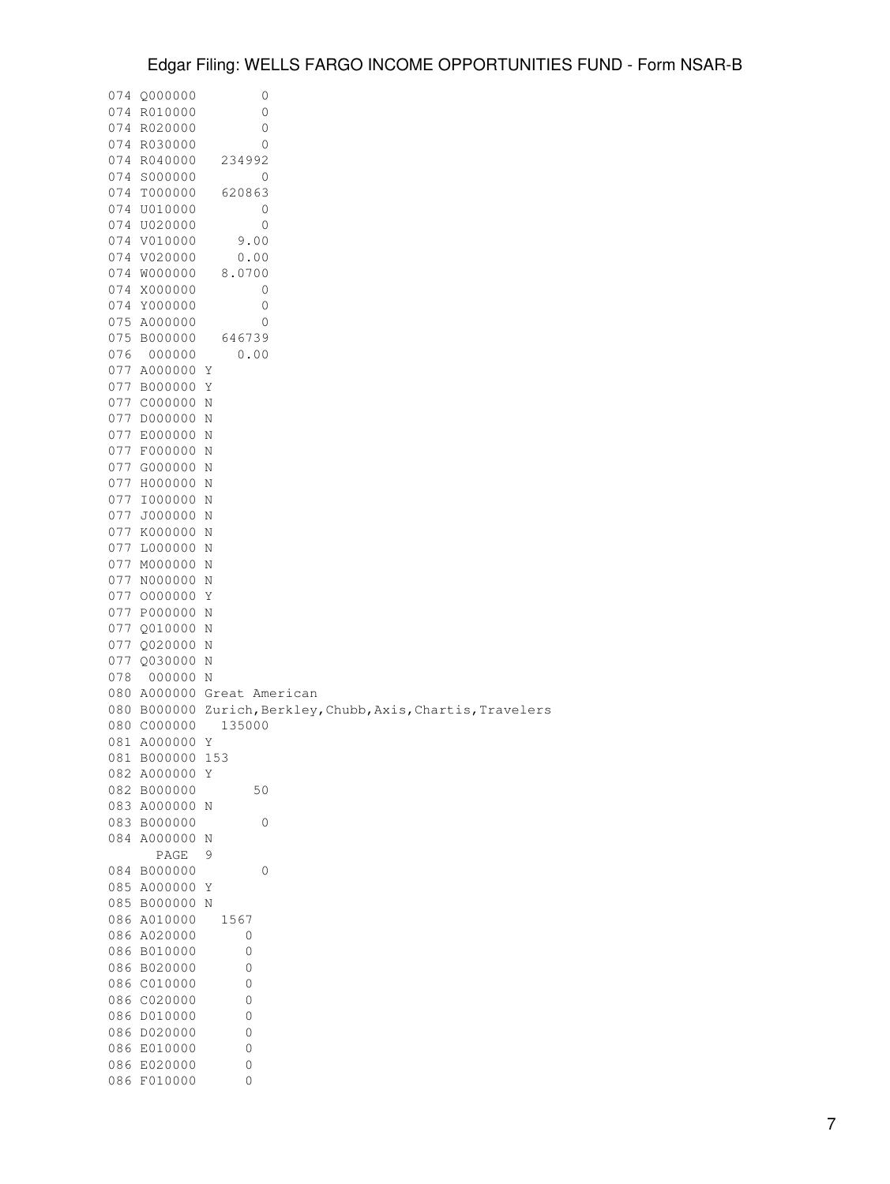|     | 074 Q000000    | 0                                                |
|-----|----------------|--------------------------------------------------|
|     | 074 R010000    | 0                                                |
| 074 | R020000        | 0                                                |
|     | 074 R030000    | 0                                                |
|     | 074 R040000    | 234992                                           |
|     |                |                                                  |
|     | 074 S000000    | 0                                                |
| 074 | T000000        | 620863                                           |
| 074 | U010000        | 0                                                |
|     | 074 U020000    | 0                                                |
|     | 074 V010000    | 9.00                                             |
|     | 074 V020000    | 0.00                                             |
|     | 074 W000000    | 8.0700                                           |
|     | 074 X000000    | 0                                                |
|     | 074 Y000000    | 0                                                |
|     | 075 A000000    | 0                                                |
|     | 075 B000000    | 646739                                           |
| 076 | 000000         | 0.00                                             |
| 077 | A000000        | Υ                                                |
| 077 | B000000        | Υ                                                |
|     |                |                                                  |
|     | 077 C000000    | Ν                                                |
|     | 077 D000000    | Ν                                                |
|     | 077 E000000    | Ν                                                |
| 077 | F000000        | Ν                                                |
|     | 077 G000000    | Ν                                                |
| 077 | H000000        | Ν                                                |
| 077 | I000000        | Ν                                                |
| 077 | J000000        | Ν                                                |
| 077 | K000000        | Ν                                                |
| 077 | L000000        | Ν                                                |
| 077 | M000000        | Ν                                                |
|     | 077 N000000    | Ν                                                |
|     | 077 0000000    | Υ                                                |
| 077 | P000000        | Ν                                                |
|     | 077 Q010000    | Ν                                                |
| 077 | Q020000        | Ν                                                |
|     |                |                                                  |
| 077 | Q030000        | Ν                                                |
| 078 | 000000         | N                                                |
| 080 |                | A000000 Great American                           |
| 080 | B000000        | Zurich, Berkley, Chubb, Axis, Chartis, Travelers |
|     | 080 C000000    | 135000                                           |
| 081 | A000000        | Υ                                                |
| 081 | B000000        | 153                                              |
|     | 082 A000000    | Υ                                                |
| 082 | <b>B000000</b> | 50                                               |
| 083 | A000000        | Ν                                                |
|     | 083 B000000    | 0                                                |
| 084 | A000000        | Ν                                                |
|     | PAGE           | 9                                                |
| 084 | B000000        | 0                                                |
|     | 085 A000000    | Υ                                                |
|     | 085 B000000    | Ν                                                |
|     | 086 A010000    | 1567                                             |
| 086 | A020000        | 0                                                |
|     |                |                                                  |
| 086 | B010000        | 0                                                |
| 086 | B020000        | 0                                                |
|     | 086 C010000    | 0                                                |
|     | 086 C020000    | 0                                                |
| 086 | D010000        | 0                                                |
| 086 | D020000        | 0                                                |
|     | 086 E010000    | 0                                                |
|     |                | 0                                                |
|     | 086 E020000    |                                                  |